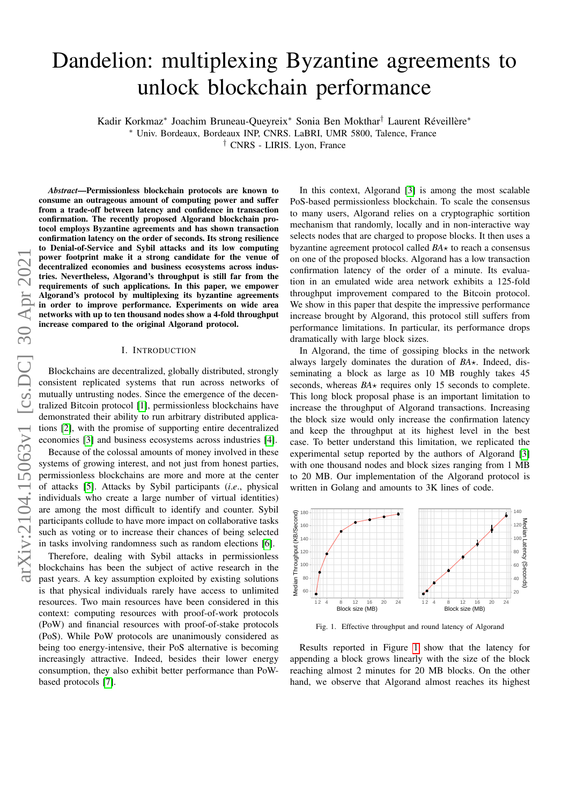# Dandelion: multiplexing Byzantine agreements to unlock blockchain performance

Kadir Korkmaz<sup>∗</sup> Joachim Bruneau-Queyreix<sup>∗</sup> Sonia Ben Mokthar† Laurent Réveillère<sup>∗</sup>

<sup>∗</sup> Univ. Bordeaux, Bordeaux INP, CNRS. LaBRI, UMR 5800, Talence, France

† CNRS - LIRIS. Lyon, France

*Abstract*—Permissionless blockchain protocols are known to consume an outrageous amount of computing power and suffer from a trade-off between latency and confidence in transaction confirmation. The recently proposed Algorand blockchain protocol employs Byzantine agreements and has shown transaction confirmation latency on the order of seconds. Its strong resilience to Denial-of-Service and Sybil attacks and its low computing power footprint make it a strong candidate for the venue of decentralized economies and business ecosystems across industries. Nevertheless, Algorand's throughput is still far from the requirements of such applications. In this paper, we empower Algorand's protocol by multiplexing its byzantine agreements in order to improve performance. Experiments on wide area networks with up to ten thousand nodes show a 4-fold throughput increase compared to the original Algorand protocol.

#### I. INTRODUCTION

Blockchains are decentralized, globally distributed, strongly consistent replicated systems that run across networks of mutually untrusting nodes. Since the emergence of the decentralized Bitcoin protocol [\[1\]](#page-9-0), permissionless blockchains have demonstrated their ability to run arbitrary distributed applications [\[2\]](#page-9-1), with the promise of supporting entire decentralized economies [\[3\]](#page-9-2) and business ecosystems across industries [\[4\]](#page-9-3).

Because of the colossal amounts of money involved in these systems of growing interest, and not just from honest parties, permissionless blockchains are more and more at the center of attacks [\[5\]](#page-9-4). Attacks by Sybil participants (*i*.*e*., physical individuals who create a large number of virtual identities) are among the most difficult to identify and counter. Sybil participants collude to have more impact on collaborative tasks such as voting or to increase their chances of being selected in tasks involving randomness such as random elections [\[6\]](#page-9-5).

Therefore, dealing with Sybil attacks in permissionless blockchains has been the subject of active research in the past years. A key assumption exploited by existing solutions is that physical individuals rarely have access to unlimited resources. Two main resources have been considered in this context: computing resources with proof-of-work protocols (PoW) and financial resources with proof-of-stake protocols (PoS). While PoW protocols are unanimously considered as being too energy-intensive, their PoS alternative is becoming increasingly attractive. Indeed, besides their lower energy consumption, they also exhibit better performance than PoWbased protocols [\[7\]](#page-9-6).

In this context, Algorand [\[3\]](#page-9-2) is among the most scalable PoS-based permissionless blockchain. To scale the consensus to many users, Algorand relies on a cryptographic sortition mechanism that randomly, locally and in non-interactive way selects nodes that are charged to propose blocks. It then uses a byzantine agreement protocol called *BA*<sup>\*</sup> to reach a consensus on one of the proposed blocks. Algorand has a low transaction confirmation latency of the order of a minute. Its evaluation in an emulated wide area network exhibits a 125-fold throughput improvement compared to the Bitcoin protocol. We show in this paper that despite the impressive performance increase brought by Algorand, this protocol still suffers from performance limitations. In particular, its performance drops dramatically with large block sizes.

In Algorand, the time of gossiping blocks in the network always largely dominates the duration of  $BA\star$ . Indeed, disseminating a block as large as 10 MB roughly takes 45 seconds, whereas  $BA \star$  requires only 15 seconds to complete. This long block proposal phase is an important limitation to increase the throughput of Algorand transactions. Increasing the block size would only increase the confirmation latency and keep the throughput at its highest level in the best case. To better understand this limitation, we replicated the experimental setup reported by the authors of Algorand [\[3\]](#page-9-2) with one thousand nodes and block sizes ranging from 1 MB to 20 MB. Our implementation of the Algorand protocol is written in Golang and amounts to 3K lines of code.



<span id="page-0-0"></span>Fig. 1. Effective throughput and round latency of Algorand

Results reported in Figure [1](#page-0-0) show that the latency for appending a block grows linearly with the size of the block reaching almost 2 minutes for 20 MB blocks. On the other hand, we observe that Algorand almost reaches its highest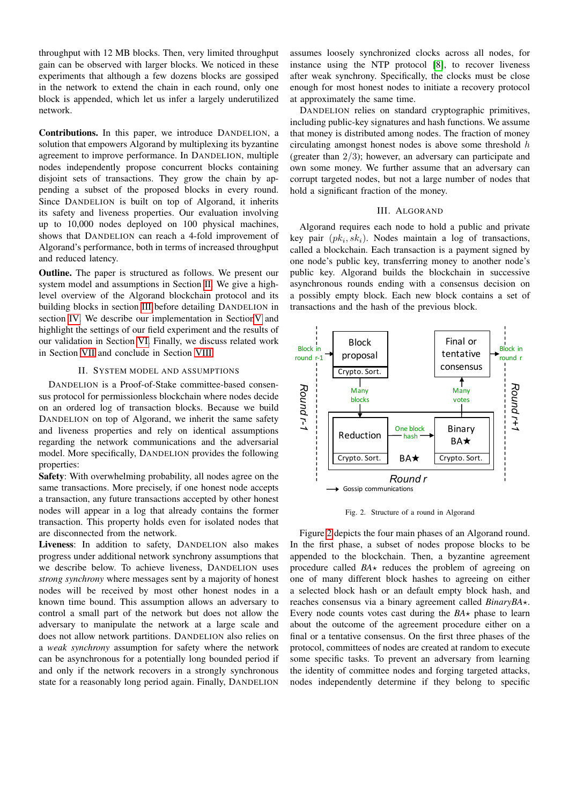throughput with 12 MB blocks. Then, very limited throughput gain can be observed with larger blocks. We noticed in these experiments that although a few dozens blocks are gossiped in the network to extend the chain in each round, only one block is appended, which let us infer a largely underutilized network.

Contributions. In this paper, we introduce DANDELION, a solution that empowers Algorand by multiplexing its byzantine agreement to improve performance. In DANDELION, multiple nodes independently propose concurrent blocks containing disjoint sets of transactions. They grow the chain by appending a subset of the proposed blocks in every round. Since DANDELION is built on top of Algorand, it inherits its safety and liveness properties. Our evaluation involving up to 10,000 nodes deployed on 100 physical machines, shows that DANDELION can reach a 4-fold improvement of Algorand's performance, both in terms of increased throughput and reduced latency.

Outline. The paper is structured as follows. We present our system model and assumptions in Section [II.](#page-1-0) We give a highlevel overview of the Algorand blockchain protocol and its building blocks in section [III](#page-1-1) before detailing DANDELION in section [IV.](#page-4-0) We describe our implementation in Sectio[nV](#page-5-0) and highlight the settings of our field experiment and the results of our validation in Section [VI.](#page-6-0) Finally, we discuss related work in Section [VII](#page-8-0) and conclude in Section [VIII.](#page-9-7)

# II. SYSTEM MODEL AND ASSUMPTIONS

<span id="page-1-0"></span>DANDELION is a Proof-of-Stake committee-based consensus protocol for permissionless blockchain where nodes decide on an ordered log of transaction blocks. Because we build DANDELION on top of Algorand, we inherit the same safety and liveness properties and rely on identical assumptions regarding the network communications and the adversarial model. More specifically, DANDELION provides the following properties:

Safety: With overwhelming probability, all nodes agree on the same transactions. More precisely, if one honest node accepts a transaction, any future transactions accepted by other honest nodes will appear in a log that already contains the former transaction. This property holds even for isolated nodes that are disconnected from the network.

Liveness: In addition to safety, DANDELION also makes progress under additional network synchrony assumptions that we describe below. To achieve liveness, DANDELION uses *strong synchrony* where messages sent by a majority of honest nodes will be received by most other honest nodes in a known time bound. This assumption allows an adversary to control a small part of the network but does not allow the adversary to manipulate the network at a large scale and does not allow network partitions. DANDELION also relies on a *weak synchrony* assumption for safety where the network can be asynchronous for a potentially long bounded period if and only if the network recovers in a strongly synchronous state for a reasonably long period again. Finally, DANDELION

assumes loosely synchronized clocks across all nodes, for instance using the NTP protocol [\[8\]](#page-9-8), to recover liveness after weak synchrony. Specifically, the clocks must be close enough for most honest nodes to initiate a recovery protocol at approximately the same time.

DANDELION relies on standard cryptographic primitives, including public-key signatures and hash functions. We assume that money is distributed among nodes. The fraction of money circulating amongst honest nodes is above some threshold  $h$ (greater than 2/3); however, an adversary can participate and own some money. We further assume that an adversary can corrupt targeted nodes, but not a large number of nodes that hold a significant fraction of the money.

## III. ALGORAND

<span id="page-1-1"></span>Algorand requires each node to hold a public and private key pair  $(pk_i, sk_i)$ . Nodes maintain a log of transactions, called a blockchain. Each transaction is a payment signed by one node's public key, transferring money to another node's public key. Algorand builds the blockchain in successive asynchronous rounds ending with a consensus decision on a possibly empty block. Each new block contains a set of transactions and the hash of the previous block.



<span id="page-1-2"></span>Fig. 2. Structure of a round in Algorand

Figure [2](#page-1-2) depicts the four main phases of an Algorand round. In the first phase, a subset of nodes propose blocks to be appended to the blockchain. Then, a byzantine agreement procedure called  $BA\star$  reduces the problem of agreeing on one of many different block hashes to agreeing on either a selected block hash or an default empty block hash, and reaches consensus via a binary agreement called *BinaryBA* $\star$ . Every node counts votes cast during the  $BA\star$  phase to learn about the outcome of the agreement procedure either on a final or a tentative consensus. On the first three phases of the protocol, committees of nodes are created at random to execute some specific tasks. To prevent an adversary from learning the identity of committee nodes and forging targeted attacks, nodes independently determine if they belong to specific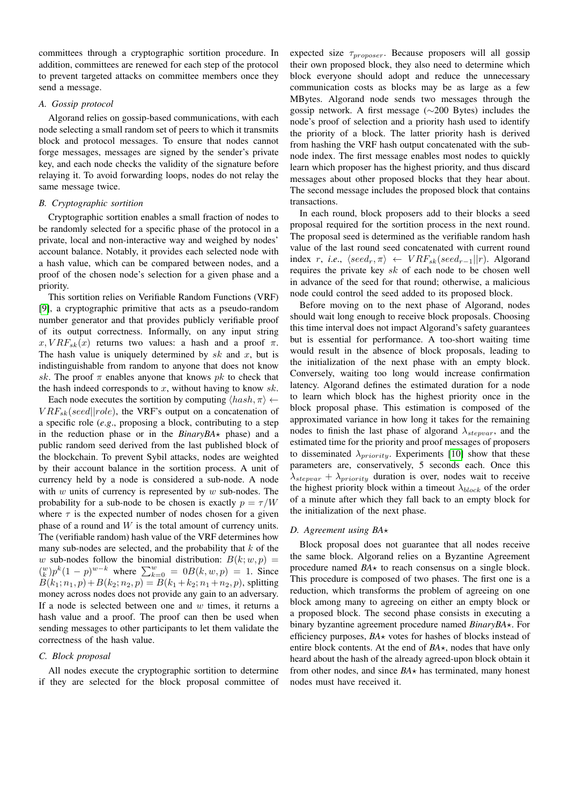committees through a cryptographic sortition procedure. In addition, committees are renewed for each step of the protocol to prevent targeted attacks on committee members once they send a message.

#### *A. Gossip protocol*

Algorand relies on gossip-based communications, with each node selecting a small random set of peers to which it transmits block and protocol messages. To ensure that nodes cannot forge messages, messages are signed by the sender's private key, and each node checks the validity of the signature before relaying it. To avoid forwarding loops, nodes do not relay the same message twice.

## *B. Cryptographic sortition*

Cryptographic sortition enables a small fraction of nodes to be randomly selected for a specific phase of the protocol in a private, local and non-interactive way and weighed by nodes' account balance. Notably, it provides each selected node with a hash value, which can be compared between nodes, and a proof of the chosen node's selection for a given phase and a priority.

This sortition relies on Verifiable Random Functions (VRF) [\[9\]](#page-9-9), a cryptographic primitive that acts as a pseudo-random number generator and that provides publicly verifiable proof of its output correctness. Informally, on any input string  $x, VRF_{sk}(x)$  returns two values: a hash and a proof  $\pi$ . The hash value is uniquely determined by  $sk$  and  $x$ , but is indistinguishable from random to anyone that does not know sk. The proof  $\pi$  enables anyone that knows pk to check that the hash indeed corresponds to  $x$ , without having to know  $sk$ .

Each node executes the sortition by computing  $\langle hash, \pi \rangle \leftarrow$  $VRF_{sk}(seed||role)$ , the VRF's output on a concatenation of a specific role (*e*.*g*., proposing a block, contributing to a step in the reduction phase or in the  $BinaryBA \star$  phase) and a public random seed derived from the last published block of the blockchain. To prevent Sybil attacks, nodes are weighted by their account balance in the sortition process. A unit of currency held by a node is considered a sub-node. A node with  $w$  units of currency is represented by  $w$  sub-nodes. The probability for a sub-node to be chosen is exactly  $p = \tau/W$ where  $\tau$  is the expected number of nodes chosen for a given phase of a round and  $W$  is the total amount of currency units. The (verifiable random) hash value of the VRF determines how many sub-nodes are selected, and the probability that  $k$  of the w sub-nodes follow the binomial distribution:  $B(k; w, p) =$  $(\binom{w}{k} p^k (1-p)^{w-k}$  where  $\sum_{k=0}^w = 0B(k, w, p) = 1$ . Since  $B(k_1; n_1, p) + B(k_2; n_2, p) = B(k_1 + k_2; n_1 + n_2, p)$ , splitting money across nodes does not provide any gain to an adversary. If a node is selected between one and  $w$  times, it returns a hash value and a proof. The proof can then be used when sending messages to other participants to let them validate the correctness of the hash value.

# *C. Block proposal*

All nodes execute the cryptographic sortition to determine if they are selected for the block proposal committee of expected size  $\tau_{proposer}$ . Because proposers will all gossip their own proposed block, they also need to determine which block everyone should adopt and reduce the unnecessary communication costs as blocks may be as large as a few MBytes. Algorand node sends two messages through the gossip network. A first message (∼200 Bytes) includes the node's proof of selection and a priority hash used to identify the priority of a block. The latter priority hash is derived from hashing the VRF hash output concatenated with the subnode index. The first message enables most nodes to quickly learn which proposer has the highest priority, and thus discard messages about other proposed blocks that they hear about. The second message includes the proposed block that contains transactions.

In each round, block proposers add to their blocks a seed proposal required for the sortition process in the next round. The proposal seed is determined as the verifiable random hash value of the last round seed concatenated with current round index r, *i.e.*,  $\langle seed_r, \pi \rangle \leftarrow VRF_{sk}(seed_{r-1}||r)$ . Algorand requires the private key sk of each node to be chosen well in advance of the seed for that round; otherwise, a malicious node could control the seed added to its proposed block.

Before moving on to the next phase of Algorand, nodes should wait long enough to receive block proposals. Choosing this time interval does not impact Algorand's safety guarantees but is essential for performance. A too-short waiting time would result in the absence of block proposals, leading to the initialization of the next phase with an empty block. Conversely, waiting too long would increase confirmation latency. Algorand defines the estimated duration for a node to learn which block has the highest priority once in the block proposal phase. This estimation is composed of the approximated variance in how long it takes for the remaining nodes to finish the last phase of algorand  $\lambda_{stepvar}$ , and the estimated time for the priority and proof messages of proposers to disseminated  $\lambda_{priority}$ . Experiments [\[10\]](#page-9-10) show that these parameters are, conservatively, 5 seconds each. Once this  $\lambda_{stenvar} + \lambda_{priority}$  duration is over, nodes wait to receive the highest priority block within a timeout  $\lambda_{block}$  of the order of a minute after which they fall back to an empty block for the initialization of the next phase.

# *D. Agreement using BA* $\star$

Block proposal does not guarantee that all nodes receive the same block. Algorand relies on a Byzantine Agreement procedure named  $BA\star$  to reach consensus on a single block. This procedure is composed of two phases. The first one is a reduction, which transforms the problem of agreeing on one block among many to agreeing on either an empty block or a proposed block. The second phase consists in executing a binary byzantine agreement procedure named *BinaryBA*<sup>\*</sup>. For efficiency purposes,  $BA\star$  votes for hashes of blocks instead of entire block contents. At the end of  $BA\star$ , nodes that have only heard about the hash of the already agreed-upon block obtain it from other nodes, and since  $BA \star$  has terminated, many honest nodes must have received it.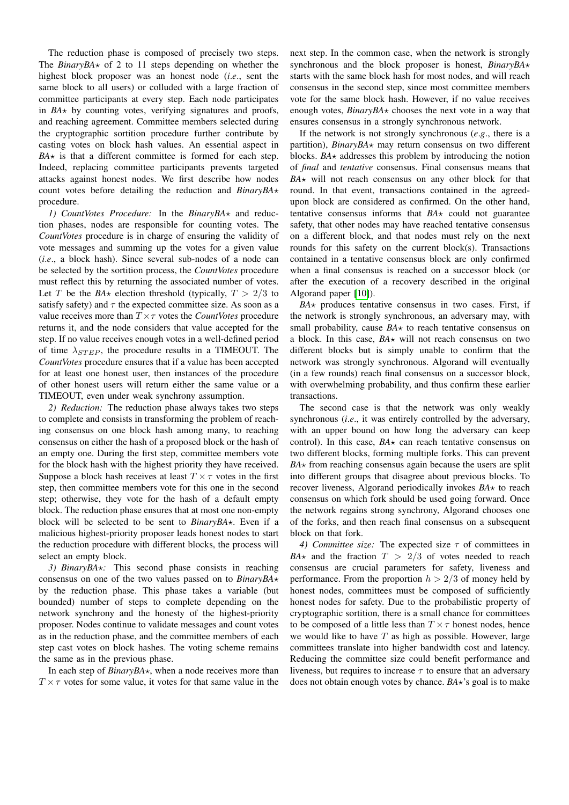The reduction phase is composed of precisely two steps. The *BinaryBA* $\star$  of 2 to 11 steps depending on whether the highest block proposer was an honest node (*i*.*e*., sent the same block to all users) or colluded with a large fraction of committee participants at every step. Each node participates in  $BA \star$  by counting votes, verifying signatures and proofs, and reaching agreement. Committee members selected during the cryptographic sortition procedure further contribute by casting votes on block hash values. An essential aspect in  $BA\star$  is that a different committee is formed for each step. Indeed, replacing committee participants prevents targeted attacks against honest nodes. We first describe how nodes count votes before detailing the reduction and *BinaryBA* $\star$ procedure.

1) CountVotes Procedure: In the BinaryBA $\star$  and reduction phases, nodes are responsible for counting votes. The *CountVotes* procedure is in charge of ensuring the validity of vote messages and summing up the votes for a given value (*i*.*e*., a block hash). Since several sub-nodes of a node can be selected by the sortition process, the *CountVotes* procedure must reflect this by returning the associated number of votes. Let T be the *BA* $\star$  election threshold (typically,  $T > 2/3$  to satisfy safety) and  $\tau$  the expected committee size. As soon as a value receives more than  $T \times \tau$  votes the *CountVotes* procedure returns it, and the node considers that value accepted for the step. If no value receives enough votes in a well-defined period of time  $\lambda_{STEP}$ , the procedure results in a TIMEOUT. The *CountVotes* procedure ensures that if a value has been accepted for at least one honest user, then instances of the procedure of other honest users will return either the same value or a TIMEOUT, even under weak synchrony assumption.

*2) Reduction:* The reduction phase always takes two steps to complete and consists in transforming the problem of reaching consensus on one block hash among many, to reaching consensus on either the hash of a proposed block or the hash of an empty one. During the first step, committee members vote for the block hash with the highest priority they have received. Suppose a block hash receives at least  $T \times \tau$  votes in the first step, then committee members vote for this one in the second step; otherwise, they vote for the hash of a default empty block. The reduction phase ensures that at most one non-empty block will be selected to be sent to  $BinaryBA \star$ . Even if a malicious highest-priority proposer leads honest nodes to start the reduction procedure with different blocks, the process will select an empty block.

*3) BinaryBA*?*:* This second phase consists in reaching consensus on one of the two values passed on to *BinaryBA* $\star$ by the reduction phase. This phase takes a variable (but bounded) number of steps to complete depending on the network synchrony and the honesty of the highest-priority proposer. Nodes continue to validate messages and count votes as in the reduction phase, and the committee members of each step cast votes on block hashes. The voting scheme remains the same as in the previous phase.

In each step of  $BinaryBA\star$ , when a node receives more than  $T \times \tau$  votes for some value, it votes for that same value in the

next step. In the common case, when the network is strongly synchronous and the block proposer is honest, *BinaryBA*\* starts with the same block hash for most nodes, and will reach consensus in the second step, since most committee members vote for the same block hash. However, if no value receives enough votes,  $BinaryBA \star$  chooses the next vote in a way that ensures consensus in a strongly synchronous network.

If the network is not strongly synchronous (*e*.*g*., there is a partition),  $BinaryBA \star$  may return consensus on two different blocks.  $BA\star$  addresses this problem by introducing the notion of *final* and *tentative* consensus. Final consensus means that  $BA\star$  will not reach consensus on any other block for that round. In that event, transactions contained in the agreedupon block are considered as confirmed. On the other hand, tentative consensus informs that  $BA \star$  could not guarantee safety, that other nodes may have reached tentative consensus on a different block, and that nodes must rely on the next rounds for this safety on the current block(s). Transactions contained in a tentative consensus block are only confirmed when a final consensus is reached on a successor block (or after the execution of a recovery described in the original Algorand paper [\[10\]](#page-9-10)).

 $BA\star$  produces tentative consensus in two cases. First, if the network is strongly synchronous, an adversary may, with small probability, cause  $BA \star$  to reach tentative consensus on a block. In this case,  $BA \star$  will not reach consensus on two different blocks but is simply unable to confirm that the network was strongly synchronous. Algorand will eventually (in a few rounds) reach final consensus on a successor block, with overwhelming probability, and thus confirm these earlier transactions.

The second case is that the network was only weakly synchronous (*i*.*e*., it was entirely controlled by the adversary, with an upper bound on how long the adversary can keep control). In this case,  $BA\star$  can reach tentative consensus on two different blocks, forming multiple forks. This can prevent  $BA\star$  from reaching consensus again because the users are split into different groups that disagree about previous blocks. To recover liveness, Algorand periodically invokes  $BA\star$  to reach consensus on which fork should be used going forward. Once the network regains strong synchrony, Algorand chooses one of the forks, and then reach final consensus on a subsequent block on that fork.

*4) Committee size:* The expected size τ of committees in  $BA\star$  and the fraction  $T > 2/3$  of votes needed to reach consensus are crucial parameters for safety, liveness and performance. From the proportion  $h > 2/3$  of money held by honest nodes, committees must be composed of sufficiently honest nodes for safety. Due to the probabilistic property of cryptographic sortition, there is a small chance for committees to be composed of a little less than  $T \times \tau$  honest nodes, hence we would like to have  $T$  as high as possible. However, large committees translate into higher bandwidth cost and latency. Reducing the committee size could benefit performance and liveness, but requires to increase  $\tau$  to ensure that an adversary does not obtain enough votes by chance.  $BA \star$ 's goal is to make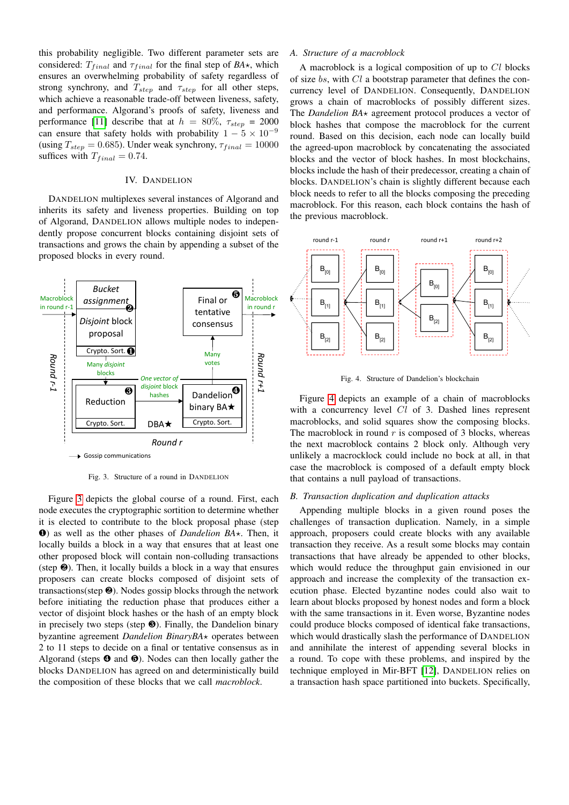this probability negligible. Two different parameter sets are considered:  $T_{final}$  and  $\tau_{final}$  for the final step of  $BA \star$ , which ensures an overwhelming probability of safety regardless of strong synchrony, and  $T_{step}$  and  $\tau_{step}$  for all other steps, which achieve a reasonable trade-off between liveness, safety, and performance. Algorand's proofs of safety, liveness and performance [\[11\]](#page-9-11) describe that at  $h = 80\%$ ,  $\tau_{step} = 2000$ can ensure that safety holds with probability  $1 - 5 \times 10^{-9}$ (using  $T_{step} = 0.685$ ). Under weak synchrony,  $\tau_{final} = 10000$ suffices with  $T_{final} = 0.74$ .

#### IV. DANDELION

<span id="page-4-0"></span>DANDELION multiplexes several instances of Algorand and inherits its safety and liveness properties. Building on top of Algorand, DANDELION allows multiple nodes to independently propose concurrent blocks containing disjoint sets of transactions and grows the chain by appending a subset of the proposed blocks in every round.



<span id="page-4-1"></span>Fig. 3. Structure of a round in DANDELION

Figure [3](#page-4-1) depicts the global course of a round. First, each node executes the cryptographic sortition to determine whether it is elected to contribute to the block proposal phase (step ❶) as well as the other phases of *Dandelion BA*?. Then, it locally builds a block in a way that ensures that at least one other proposed block will contain non-colluding transactions (step ❷). Then, it locally builds a block in a way that ensures proposers can create blocks composed of disjoint sets of transactions(step ❷). Nodes gossip blocks through the network before initiating the reduction phase that produces either a vector of disjoint block hashes or the hash of an empty block in precisely two steps (step  $\Theta$ ). Finally, the Dandelion binary byzantine agreement *Dandelion BinaryBA*? operates between 2 to 11 steps to decide on a final or tentative consensus as in Algorand (steps  $\Theta$  and  $\Theta$ ). Nodes can then locally gather the blocks DANDELION has agreed on and deterministically build the composition of these blocks that we call *macroblock*.

# *A. Structure of a macroblock*

A macroblock is a logical composition of up to  $Cl$  blocks of size bs, with  $Cl$  a bootstrap parameter that defines the concurrency level of DANDELION. Consequently, DANDELION grows a chain of macroblocks of possibly different sizes. The *Dandelion BA* $\star$  agreement protocol produces a vector of block hashes that compose the macroblock for the current round. Based on this decision, each node can locally build the agreed-upon macroblock by concatenating the associated blocks and the vector of block hashes. In most blockchains, blocks include the hash of their predecessor, creating a chain of blocks. DANDELION's chain is slightly different because each block needs to refer to all the blocks composing the preceding macroblock. For this reason, each block contains the hash of the previous macroblock.



<span id="page-4-2"></span>Fig. 4. Structure of Dandelion's blockchain

Figure [4](#page-4-2) depicts an example of a chain of macroblocks with a concurrency level  $Cl$  of 3. Dashed lines represent macroblocks, and solid squares show the composing blocks. The macroblock in round  $r$  is composed of 3 blocks, whereas the next macroblock contains 2 block only. Although very unlikely a macrocklock could include no bock at all, in that case the macroblock is composed of a default empty block that contains a null payload of transactions.

#### *B. Transaction duplication and duplication attacks*

Appending multiple blocks in a given round poses the challenges of transaction duplication. Namely, in a simple approach, proposers could create blocks with any available transaction they receive. As a result some blocks may contain transactions that have already be appended to other blocks, which would reduce the throughput gain envisioned in our approach and increase the complexity of the transaction execution phase. Elected byzantine nodes could also wait to learn about blocks proposed by honest nodes and form a block with the same transactions in it. Even worse, Byzantine nodes could produce blocks composed of identical fake transactions, which would drastically slash the performance of DANDELION and annihilate the interest of appending several blocks in a round. To cope with these problems, and inspired by the technique employed in Mir-BFT [\[12\]](#page-9-12), DANDELION relies on a transaction hash space partitioned into buckets. Specifically,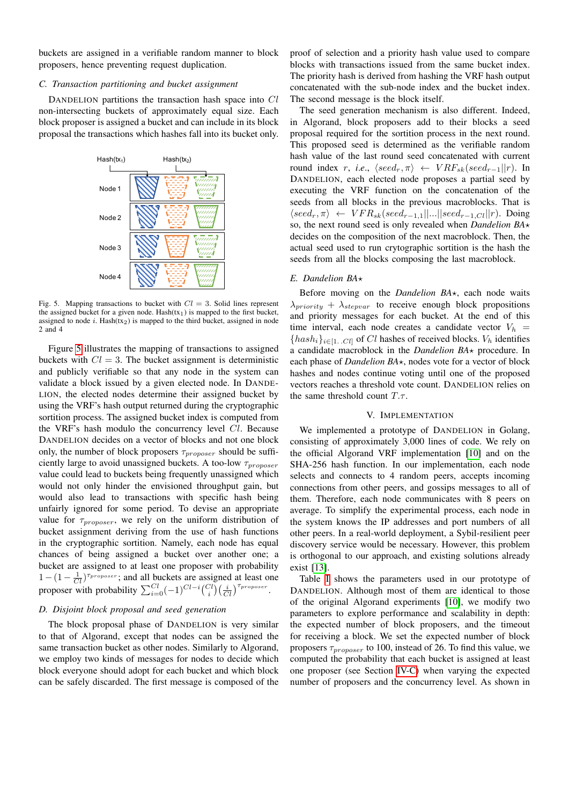buckets are assigned in a verifiable random manner to block proposers, hence preventing request duplication.

#### <span id="page-5-2"></span>*C. Transaction partitioning and bucket assignment*

DANDELION partitions the transaction hash space into Cl non-intersecting buckets of approximately equal size. Each block proposer is assigned a bucket and can include in its block proposal the transactions which hashes fall into its bucket only.



<span id="page-5-1"></span>Fig. 5. Mapping transactions to bucket with  $Cl = 3$ . Solid lines represent the assigned bucket for a given node.  $Hash(tx_1)$  is mapped to the first bucket, assigned to node i. Hash $(tx<sub>2</sub>)$  is mapped to the third bucket, assigned in node 2 and 4

Figure [5](#page-5-1) illustrates the mapping of transactions to assigned buckets with  $Cl = 3$ . The bucket assignment is deterministic and publicly verifiable so that any node in the system can validate a block issued by a given elected node. In DANDE-LION, the elected nodes determine their assigned bucket by using the VRF's hash output returned during the cryptographic sortition process. The assigned bucket index is computed from the VRF's hash modulo the concurrency level Cl. Because DANDELION decides on a vector of blocks and not one block only, the number of block proposers  $\tau_{proposer}$  should be sufficiently large to avoid unassigned buckets. A too-low  $\tau_{proposer}$ value could lead to buckets being frequently unassigned which would not only hinder the envisioned throughput gain, but would also lead to transactions with specific hash being unfairly ignored for some period. To devise an appropriate value for  $\tau_{proposer}$ , we rely on the uniform distribution of bucket assignment deriving from the use of hash functions in the cryptographic sortition. Namely, each node has equal chances of being assigned a bucket over another one; a bucket are assigned to at least one proposer with probability  $1-(1-\frac{1}{Cl})^{\tau_{proposer}}$ ; and all buckets are assigned at least one proposer with probability  $\sum_{i=0}^{Cl} (-1)^{Cl-i} \binom{Cl}{i} \left(\frac{i}{Cl}\right)^{\tau_{proposer}}$ .

#### *D. Disjoint block proposal and seed generation*

The block proposal phase of DANDELION is very similar to that of Algorand, except that nodes can be assigned the same transaction bucket as other nodes. Similarly to Algorand, we employ two kinds of messages for nodes to decide which block everyone should adopt for each bucket and which block can be safely discarded. The first message is composed of the proof of selection and a priority hash value used to compare blocks with transactions issued from the same bucket index. The priority hash is derived from hashing the VRF hash output concatenated with the sub-node index and the bucket index. The second message is the block itself.

The seed generation mechanism is also different. Indeed, in Algorand, block proposers add to their blocks a seed proposal required for the sortition process in the next round. This proposed seed is determined as the verifiable random hash value of the last round seed concatenated with current round index r, *i.e.*,  $\langle seed_r, \pi \rangle \leftarrow VRF_{sk}(seed_{r-1}||r)$ . In DANDELION, each elected node proposes a partial seed by executing the VRF function on the concatenation of the seeds from all blocks in the previous macroblocks. That is  $\langle seed_r, \pi \rangle \leftarrow VFR_{sk}(seed_{r-1,1}||...||seed_{r-1,Cl}||r)$ . Doing so, the next round seed is only revealed when *Dandelion BA* $\star$ decides on the composition of the next macroblock. Then, the actual seed used to run crytographic sortition is the hash the seeds from all the blocks composing the last macroblock.

#### *E. Dandelion BA*?

Before moving on the *Dandelion BA*\*, each node waits  $\lambda_{priority} + \lambda_{stepvar}$  to receive enough block propositions and priority messages for each bucket. At the end of this time interval, each node creates a candidate vector  $V_h$  =  ${\{hash_i\}_{i \in [1..|C_l]}$  of Cl hashes of received blocks.  $V_h$  identifies a candidate macroblock in the *Dandelion BA*\* procedure. In each phase of *Dandelion BA*<sup>\*</sup>, nodes vote for a vector of block hashes and nodes continue voting until one of the proposed vectors reaches a threshold vote count. DANDELION relies on the same threshold count  $T.\tau$ .

#### V. IMPLEMENTATION

<span id="page-5-0"></span>We implemented a prototype of DANDELION in Golang, consisting of approximately 3,000 lines of code. We rely on the official Algorand VRF implementation [\[10\]](#page-9-10) and on the SHA-256 hash function. In our implementation, each node selects and connects to 4 random peers, accepts incoming connections from other peers, and gossips messages to all of them. Therefore, each node communicates with 8 peers on average. To simplify the experimental process, each node in the system knows the IP addresses and port numbers of all other peers. In a real-world deployment, a Sybil-resilient peer discovery service would be necessary. However, this problem is orthogonal to our approach, and existing solutions already exist [\[13\]](#page-9-13).

Table [I](#page-6-1) shows the parameters used in our prototype of DANDELION. Although most of them are identical to those of the original Algorand experiments [\[10\]](#page-9-10), we modify two parameters to explore performance and scalability in depth: the expected number of block proposers, and the timeout for receiving a block. We set the expected number of block proposers  $\tau_{proposer}$  to 100, instead of 26. To find this value, we computed the probability that each bucket is assigned at least one proposer (see Section [IV-C\)](#page-5-2) when varying the expected number of proposers and the concurrency level. As shown in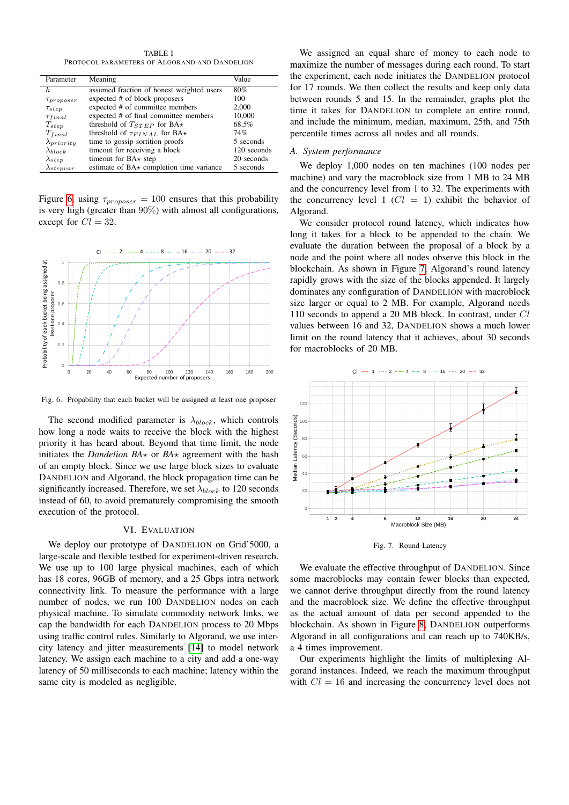TABLE I PROTOCOL PARAMETERS OF ALGORAND AND DANDELION

<span id="page-6-1"></span>

| Parameter            | Meaning                                        | Value       |
|----------------------|------------------------------------------------|-------------|
| h.                   | assumed fraction of honest weighted users      | 80%         |
| $\tau_{proposer}$    | expected # of block proposers                  | 100         |
| $\tau_{step}$        | expected # of committee members                | 2.000       |
| $\tau_{final}$       | expected # of final committee members          | 10,000      |
| $T_{step}$           | threshold of $T_{STEP}$ for BA $\star$         | 68.5%       |
| $T_{final}$          | threshold of $\tau_{FINAL}$ for BA $\star$     | 74%         |
| $\lambda_{priority}$ | time to gossip sortition proofs                | 5 seconds   |
| $\lambda_{block}$    | timeout for receiving a block                  | 120 seconds |
| $\lambda_{step}$     | timeout for $BA\star$ step                     | 20 seconds  |
| $\lambda$ stepvar    | estimate of $BA\star$ completion time variance | 5 seconds   |

Figure [6,](#page-6-2) using  $\tau_{proposer} = 100$  ensures that this probability is very high (greater than 90%) with almost all configurations, except for  $Cl = 32$ .



<span id="page-6-2"></span>Fig. 6. Propability that each bucket will be assigned at least one proposer

The second modified parameter is  $\lambda_{block}$ , which controls how long a node waits to receive the block with the highest priority it has heard about. Beyond that time limit, the node initiates the *Dandelion BA* $\star$  or *BA* $\star$  agreement with the hash of an empty block. Since we use large block sizes to evaluate DANDELION and Algorand, the block propagation time can be significantly increased. Therefore, we set  $\lambda_{block}$  to 120 seconds instead of 60, to avoid prematurely compromising the smooth execution of the protocol.

## VI. EVALUATION

<span id="page-6-0"></span>We deploy our prototype of DANDELION on Grid'5000, a large-scale and flexible testbed for experiment-driven research. We use up to 100 large physical machines, each of which has 18 cores, 96GB of memory, and a 25 Gbps intra network connectivity link. To measure the performance with a large number of nodes, we run 100 DANDELION nodes on each physical machine. To simulate commodity network links, we cap the bandwidth for each DANDELION process to 20 Mbps using traffic control rules. Similarly to Algorand, we use intercity latency and jitter measurements [\[14\]](#page-9-14) to model network latency. We assign each machine to a city and add a one-way latency of 50 milliseconds to each machine; latency within the same city is modeled as negligible.

We assigned an equal share of money to each node to maximize the number of messages during each round. To start the experiment, each node initiates the DANDELION protocol for 17 rounds. We then collect the results and keep only data between rounds 5 and 15. In the remainder, graphs plot the time it takes for DANDELION to complete an entire round, and include the minimum, median, maximum, 25th, and 75th percentile times across all nodes and all rounds.

# *A. System performance*

We deploy 1,000 nodes on ten machines (100 nodes per machine) and vary the macroblock size from 1 MB to 24 MB and the concurrency level from 1 to 32. The experiments with the concurrency level 1 ( $Cl = 1$ ) exhibit the behavior of Algorand.

We consider protocol round latency, which indicates how long it takes for a block to be appended to the chain. We evaluate the duration between the proposal of a block by a node and the point where all nodes observe this block in the blockchain. As shown in Figure [7,](#page-6-3) Algorand's round latency rapidly grows with the size of the blocks appended. It largely dominates any configuration of DANDELION with macroblock size larger or equal to 2 MB. For example, Algorand needs 110 seconds to append a 20 MB block. In contrast, under Cl values between 16 and 32, DANDELION shows a much lower limit on the round latency that it achieves, about 30 seconds for macroblocks of 20 MB.



<span id="page-6-3"></span>Fig. 7. Round Latency

We evaluate the effective throughput of DANDELION. Since some macroblocks may contain fewer blocks than expected, we cannot derive throughput directly from the round latency and the macroblock size. We define the effective throughput as the actual amount of data per second appended to the blockchain. As shown in Figure [8,](#page-7-0) DANDELION outperforms Algorand in all configurations and can reach up to 740KB/s, a 4 times improvement.

Our experiments highlight the limits of multiplexing Algorand instances. Indeed, we reach the maximum throughput with  $Cl = 16$  and increasing the concurrency level does not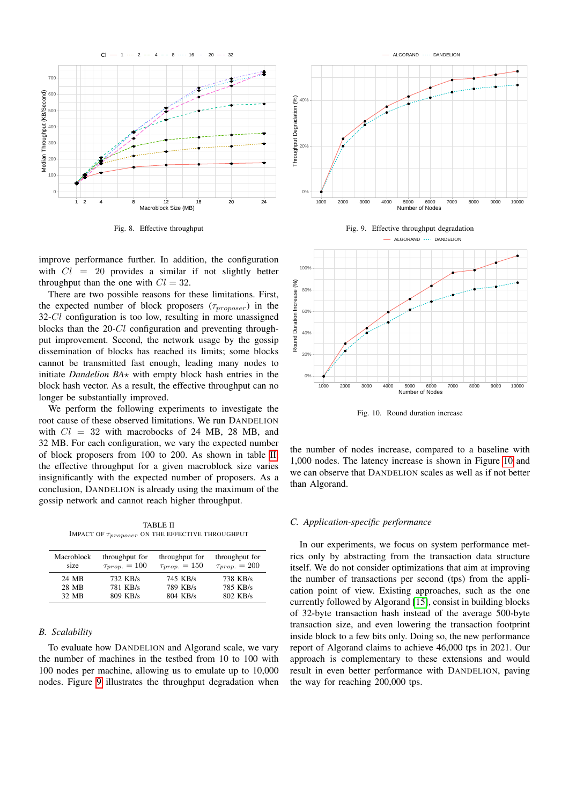

<span id="page-7-0"></span>Fig. 8. Effective throughput

improve performance further. In addition, the configuration with  $Cl = 20$  provides a similar if not slightly better throughput than the one with  $Cl = 32$ .

There are two possible reasons for these limitations. First, the expected number of block proposers  $(\tau_{proposer})$  in the 32-Cl configuration is too low, resulting in more unassigned blocks than the 20-Cl configuration and preventing throughput improvement. Second, the network usage by the gossip dissemination of blocks has reached its limits; some blocks cannot be transmitted fast enough, leading many nodes to initiate *Dandelion BA* $\star$  with empty block hash entries in the block hash vector. As a result, the effective throughput can no longer be substantially improved.

We perform the following experiments to investigate the root cause of these observed limitations. We run DANDELION with  $Cl = 32$  with macrobocks of 24 MB, 28 MB, and 32 MB. For each configuration, we vary the expected number of block proposers from 100 to 200. As shown in table [II,](#page-7-1) the effective throughput for a given macroblock size varies insignificantly with the expected number of proposers. As a conclusion, DANDELION is already using the maximum of the gossip network and cannot reach higher throughput.

TABLE II IMPACT OF  $\tau_{proposer}$  ON THE EFFECTIVE THROUGHPUT

<span id="page-7-1"></span>

| Macroblock | throughput for     | throughput for     | throughput for     |
|------------|--------------------|--------------------|--------------------|
| size       | $\tau_{prop.}=100$ | $\tau_{prop.}=150$ | $\tau_{prop.}=200$ |
| 24 MB      | 732 KB/s           | 745 KB/s           | 738 KB/s           |
| 28 MB      | 781 KB/s           | 789 KB/s           | 785 KB/s           |
| 32 MB      | 809 KB/s           | 804 KB/s           | 802 KB/s           |

## *B. Scalability*

To evaluate how DANDELION and Algorand scale, we vary the number of machines in the testbed from 10 to 100 with 100 nodes per machine, allowing us to emulate up to 10,000 nodes. Figure [9](#page-7-2) illustrates the throughput degradation when



<span id="page-7-2"></span>

<span id="page-7-3"></span>Fig. 10. Round duration increase

the number of nodes increase, compared to a baseline with 1,000 nodes. The latency increase is shown in Figure [10](#page-7-3) and we can observe that DANDELION scales as well as if not better than Algorand.

#### *C. Application-specific performance*

In our experiments, we focus on system performance metrics only by abstracting from the transaction data structure itself. We do not consider optimizations that aim at improving the number of transactions per second (tps) from the application point of view. Existing approaches, such as the one currently followed by Algorand [\[15\]](#page-9-15), consist in building blocks of 32-byte transaction hash instead of the average 500-byte transaction size, and even lowering the transaction footprint inside block to a few bits only. Doing so, the new performance report of Algorand claims to achieve 46,000 tps in 2021. Our approach is complementary to these extensions and would result in even better performance with DANDELION, paving the way for reaching 200,000 tps.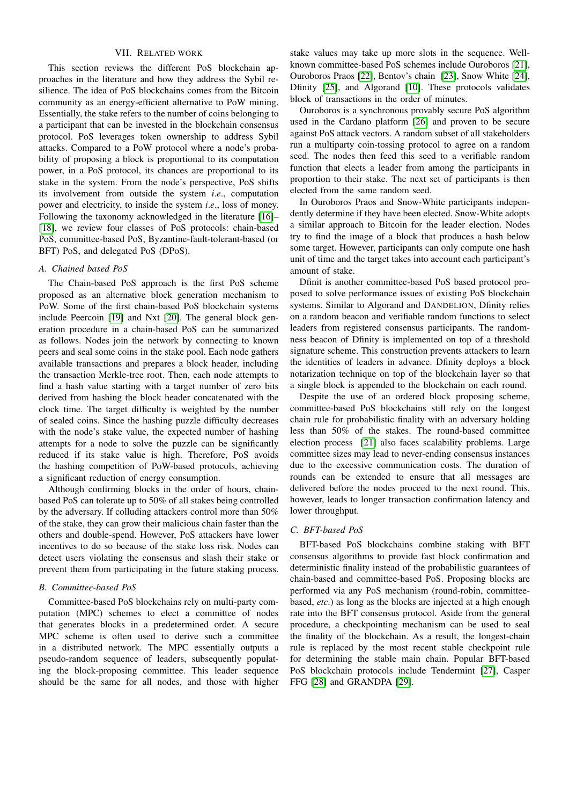# VII. RELATED WORK

<span id="page-8-0"></span>This section reviews the different PoS blockchain approaches in the literature and how they address the Sybil resilience. The idea of PoS blockchains comes from the Bitcoin community as an energy-efficient alternative to PoW mining. Essentially, the stake refers to the number of coins belonging to a participant that can be invested in the blockchain consensus protocol. PoS leverages token ownership to address Sybil attacks. Compared to a PoW protocol where a node's probability of proposing a block is proportional to its computation power, in a PoS protocol, its chances are proportional to its stake in the system. From the node's perspective, PoS shifts its involvement from outside the system *i*.*e*., computation power and electricity, to inside the system *i*.*e*., loss of money. Following the taxonomy acknowledged in the literature [\[16\]](#page-9-16)– [\[18\]](#page-9-17), we review four classes of PoS protocols: chain-based PoS, committee-based PoS, Byzantine-fault-tolerant-based (or BFT) PoS, and delegated PoS (DPoS).

#### *A. Chained based PoS*

The Chain-based PoS approach is the first PoS scheme proposed as an alternative block generation mechanism to PoW. Some of the first chain-based PoS blockchain systems include Peercoin [\[19\]](#page-9-18) and Nxt [\[20\]](#page-9-19). The general block generation procedure in a chain-based PoS can be summarized as follows. Nodes join the network by connecting to known peers and seal some coins in the stake pool. Each node gathers available transactions and prepares a block header, including the transaction Merkle-tree root. Then, each node attempts to find a hash value starting with a target number of zero bits derived from hashing the block header concatenated with the clock time. The target difficulty is weighted by the number of sealed coins. Since the hashing puzzle difficulty decreases with the node's stake value, the expected number of hashing attempts for a node to solve the puzzle can be significantly reduced if its stake value is high. Therefore, PoS avoids the hashing competition of PoW-based protocols, achieving a significant reduction of energy consumption.

Although confirming blocks in the order of hours, chainbased PoS can tolerate up to 50% of all stakes being controlled by the adversary. If colluding attackers control more than 50% of the stake, they can grow their malicious chain faster than the others and double-spend. However, PoS attackers have lower incentives to do so because of the stake loss risk. Nodes can detect users violating the consensus and slash their stake or prevent them from participating in the future staking process.

## *B. Committee-based PoS*

Committee-based PoS blockchains rely on multi-party computation (MPC) schemes to elect a committee of nodes that generates blocks in a predetermined order. A secure MPC scheme is often used to derive such a committee in a distributed network. The MPC essentially outputs a pseudo-random sequence of leaders, subsequently populating the block-proposing committee. This leader sequence should be the same for all nodes, and those with higher

stake values may take up more slots in the sequence. Wellknown committee-based PoS schemes include Ouroboros [\[21\]](#page-9-20), Ouroboros Praos [\[22\]](#page-9-21), Bentov's chain [\[23\]](#page-9-22), Snow White [\[24\]](#page-9-23), Dfinity [\[25\]](#page-9-24), and Algorand [\[10\]](#page-9-10). These protocols validates block of transactions in the order of minutes.

Ouroboros is a synchronous provably secure PoS algorithm used in the Cardano platform [\[26\]](#page-9-25) and proven to be secure against PoS attack vectors. A random subset of all stakeholders run a multiparty coin-tossing protocol to agree on a random seed. The nodes then feed this seed to a verifiable random function that elects a leader from among the participants in proportion to their stake. The next set of participants is then elected from the same random seed.

In Ouroboros Praos and Snow-White participants independently determine if they have been elected. Snow-White adopts a similar approach to Bitcoin for the leader election. Nodes try to find the image of a block that produces a hash below some target. However, participants can only compute one hash unit of time and the target takes into account each participant's amount of stake.

Dfinit is another committee-based PoS based protocol proposed to solve performance issues of existing PoS blockchain systems. Similar to Algorand and DANDELION, Dfinity relies on a random beacon and verifiable random functions to select leaders from registered consensus participants. The randomness beacon of Dfinity is implemented on top of a threshold signature scheme. This construction prevents attackers to learn the identities of leaders in advance. Dfinity deploys a block notarization technique on top of the blockchain layer so that a single block is appended to the blockchain on each round.

Despite the use of an ordered block proposing scheme, committee-based PoS blockchains still rely on the longest chain rule for probabilistic finality with an adversary holding less than 50% of the stakes. The round-based committee election process [\[21\]](#page-9-20) also faces scalability problems. Large committee sizes may lead to never-ending consensus instances due to the excessive communication costs. The duration of rounds can be extended to ensure that all messages are delivered before the nodes proceed to the next round. This, however, leads to longer transaction confirmation latency and lower throughput.

# *C. BFT-based PoS*

BFT-based PoS blockchains combine staking with BFT consensus algorithms to provide fast block confirmation and deterministic finality instead of the probabilistic guarantees of chain-based and committee-based PoS. Proposing blocks are performed via any PoS mechanism (round-robin, committeebased, *etc*.) as long as the blocks are injected at a high enough rate into the BFT consensus protocol. Aside from the general procedure, a checkpointing mechanism can be used to seal the finality of the blockchain. As a result, the longest-chain rule is replaced by the most recent stable checkpoint rule for determining the stable main chain. Popular BFT-based PoS blockchain protocols include Tendermint [\[27\]](#page-9-26), Casper FFG [\[28\]](#page-9-27) and GRANDPA [\[29\]](#page-9-28).